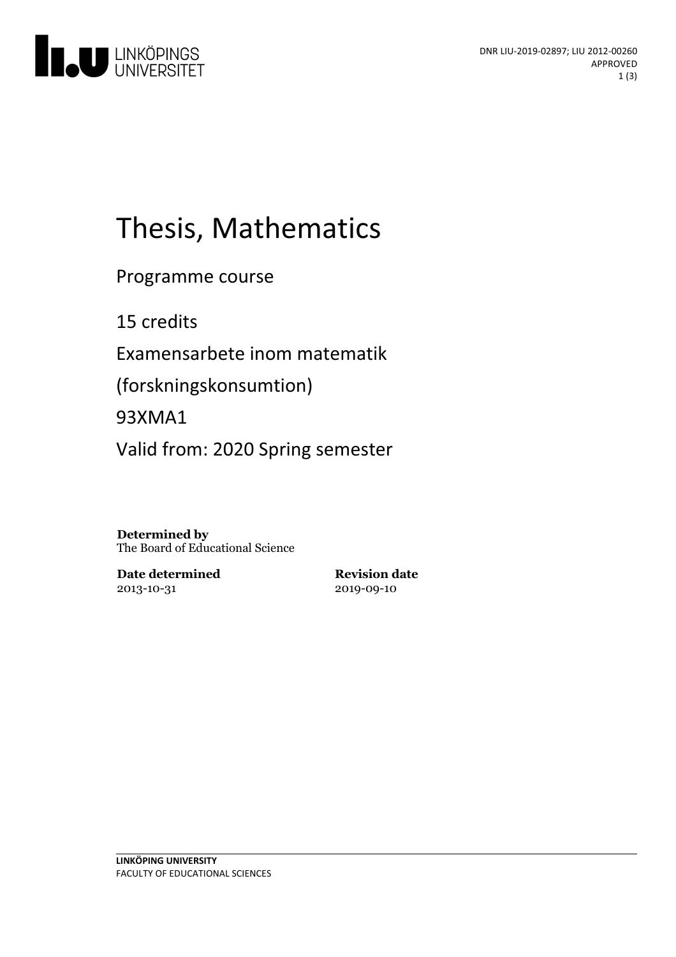

# Thesis, Mathematics

Programme course

15 credits

Examensarbete inom matematik

(forskningskonsumtion)

93XMA1

Valid from: 2020 Spring semester

**Determined by** The Board of Educational Science

**Date determined** 2013-10-31

**Revision date** 2019-09-10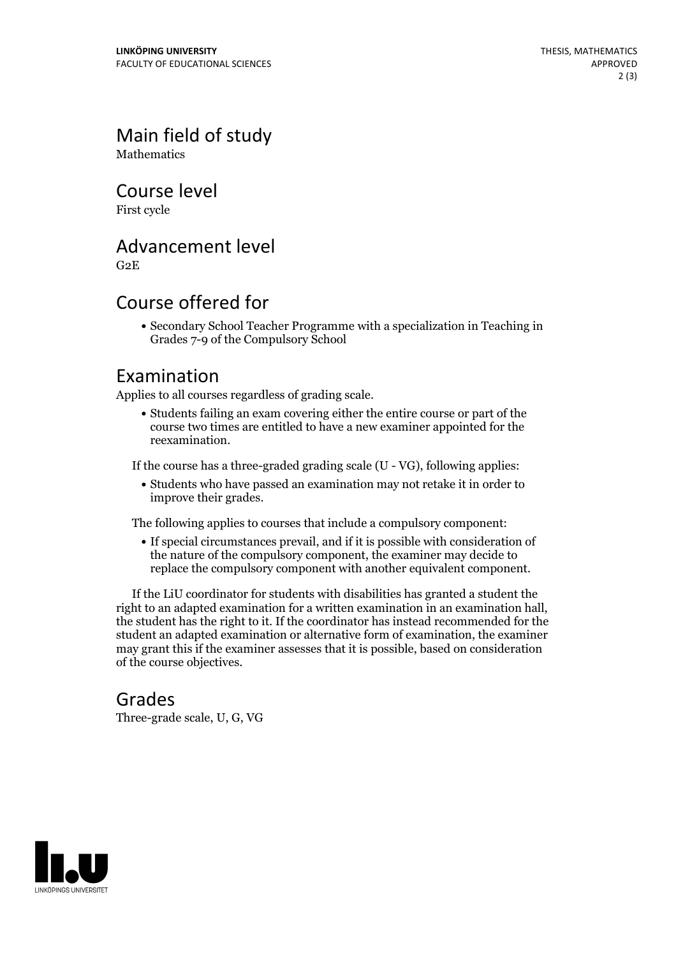Main field of study **Mathematics** 

Course level

First cycle

#### Advancement level

G2E

### Course offered for

Secondary School Teacher Programme with a specialization in Teaching in Grades 7-9 of the Compulsory School

#### Examination

Applies to all courses regardless of grading scale.

Students failing an exam covering either the entire course or part of the course two times are entitled to have a new examiner appointed for the reexamination.

If the course has a three-graded grading scale (U - VG), following applies:

Students who have passed an examination may not retake it in order to improve their grades.

The following applies to courses that include a compulsory component:

If special circumstances prevail, and if it is possible with consideration of the nature of the compulsory component, the examiner may decide to replace the compulsory component with another equivalent component.

If the LiU coordinator for students with disabilities has granted a student the right to an adapted examination for <sup>a</sup> written examination in an examination hall, the student has the right to it. If the coordinator has instead recommended for the student an adapted examination or alternative form of examination, the examiner may grant this if the examiner assesses that it is possible, based on consideration of the course objectives.

#### Grades

Three-grade scale, U, G, VG